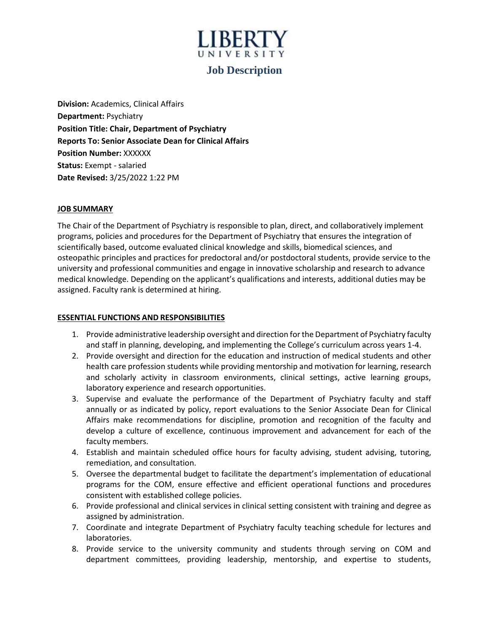# UNIVERSIT

# **Job Description**

**Division:** Academics, Clinical Affairs **Department:** Psychiatry **Position Title: Chair, Department of Psychiatry Reports To: Senior Associate Dean for Clinical Affairs Position Number:** XXXXXX **Status:** Exempt - salaried **Date Revised:** 3/25/2022 1:22 PM

# **JOB SUMMARY**

The Chair of the Department of Psychiatry is responsible to plan, direct, and collaboratively implement programs, policies and procedures for the Department of Psychiatry that ensures the integration of scientifically based, outcome evaluated clinical knowledge and skills, biomedical sciences, and osteopathic principles and practices for predoctoral and/or postdoctoral students, provide service to the university and professional communities and engage in innovative scholarship and research to advance medical knowledge. Depending on the applicant's qualifications and interests, additional duties may be assigned. Faculty rank is determined at hiring.

# **ESSENTIAL FUNCTIONS AND RESPONSIBILITIES**

- 1. Provide administrative leadership oversight and direction for the Department of Psychiatry faculty and staff in planning, developing, and implementing the College's curriculum across years 1-4.
- 2. Provide oversight and direction for the education and instruction of medical students and other health care profession students while providing mentorship and motivation for learning, research and scholarly activity in classroom environments, clinical settings, active learning groups, laboratory experience and research opportunities.
- 3. Supervise and evaluate the performance of the Department of Psychiatry faculty and staff annually or as indicated by policy, report evaluations to the Senior Associate Dean for Clinical Affairs make recommendations for discipline, promotion and recognition of the faculty and develop a culture of excellence, continuous improvement and advancement for each of the faculty members.
- 4. Establish and maintain scheduled office hours for faculty advising, student advising, tutoring, remediation, and consultation.
- 5. Oversee the departmental budget to facilitate the department's implementation of educational programs for the COM, ensure effective and efficient operational functions and procedures consistent with established college policies.
- 6. Provide professional and clinical services in clinical setting consistent with training and degree as assigned by administration.
- 7. Coordinate and integrate Department of Psychiatry faculty teaching schedule for lectures and laboratories.
- 8. Provide service to the university community and students through serving on COM and department committees, providing leadership, mentorship, and expertise to students,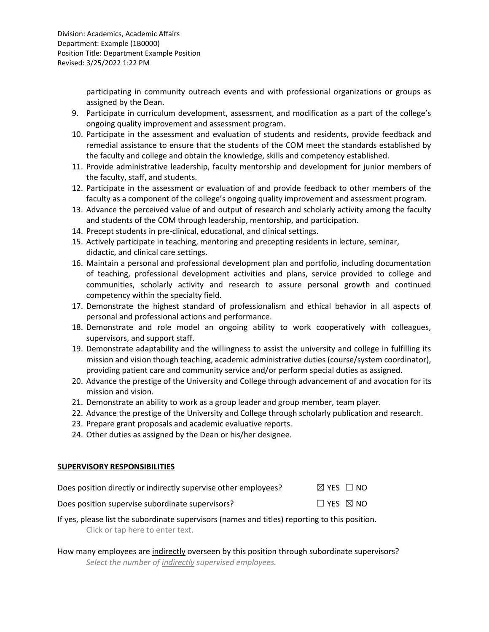participating in community outreach events and with professional organizations or groups as assigned by the Dean.

- 9. Participate in curriculum development, assessment, and modification as a part of the college's ongoing quality improvement and assessment program.
- 10. Participate in the assessment and evaluation of students and residents, provide feedback and remedial assistance to ensure that the students of the COM meet the standards established by the faculty and college and obtain the knowledge, skills and competency established.
- 11. Provide administrative leadership, faculty mentorship and development for junior members of the faculty, staff, and students.
- 12. Participate in the assessment or evaluation of and provide feedback to other members of the faculty as a component of the college's ongoing quality improvement and assessment program.
- 13. Advance the perceived value of and output of research and scholarly activity among the faculty and students of the COM through leadership, mentorship, and participation.
- 14. Precept students in pre-clinical, educational, and clinical settings.
- 15. Actively participate in teaching, mentoring and precepting residents in lecture, seminar, didactic, and clinical care settings.
- 16. Maintain a personal and professional development plan and portfolio, including documentation of teaching, professional development activities and plans, service provided to college and communities, scholarly activity and research to assure personal growth and continued competency within the specialty field.
- 17. Demonstrate the highest standard of professionalism and ethical behavior in all aspects of personal and professional actions and performance.
- 18. Demonstrate and role model an ongoing ability to work cooperatively with colleagues, supervisors, and support staff.
- 19. Demonstrate adaptability and the willingness to assist the university and college in fulfilling its mission and vision though teaching, academic administrative duties (course/system coordinator), providing patient care and community service and/or perform special duties as assigned.
- 20. Advance the prestige of the University and College through advancement of and avocation for its mission and vision.
- 21. Demonstrate an ability to work as a group leader and group member, team player.
- 22. Advance the prestige of the University and College through scholarly publication and research.
- 23. Prepare grant proposals and academic evaluative reports.
- 24. Other duties as assigned by the Dean or his/her designee.

# **SUPERVISORY RESPONSIBILITIES**

| Does position directly or indirectly supervise other employees? | $\boxtimes$ YES $\Box$ NO |
|-----------------------------------------------------------------|---------------------------|
| Does position supervise subordinate supervisors?                | $\Box$ YES $\boxtimes$ NO |

- If yes, please list the subordinate supervisors (names and titles) reporting to this position. Click or tap here to enter text.
- How many employees are indirectly overseen by this position through subordinate supervisors? *Select the number of indirectly supervised employees.*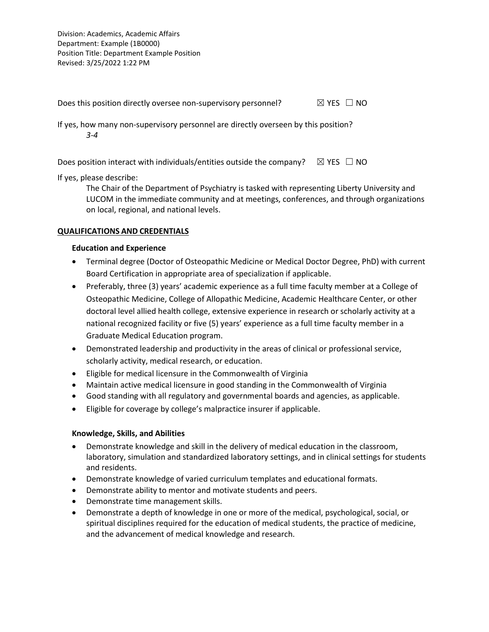Division: Academics, Academic Affairs Department: Example (1B0000) Position Title: Department Example Position Revised: 3/25/2022 1:22 PM

Does this position directly oversee non-supervisory personnel?  $\boxtimes$  YES  $\Box$  NO

If yes, how many non-supervisory personnel are directly overseen by this position? *3-4*

Does position interact with individuals/entities outside the company?  $\boxtimes$  YES  $\Box$  NO

If yes, please describe:

The Chair of the Department of Psychiatry is tasked with representing Liberty University and LUCOM in the immediate community and at meetings, conferences, and through organizations on local, regional, and national levels.

# **QUALIFICATIONS AND CREDENTIALS**

# **Education and Experience**

- Terminal degree (Doctor of Osteopathic Medicine or Medical Doctor Degree, PhD) with current Board Certification in appropriate area of specialization if applicable.
- Preferably, three (3) years' academic experience as a full time faculty member at a College of Osteopathic Medicine, College of Allopathic Medicine, Academic Healthcare Center, or other doctoral level allied health college, extensive experience in research or scholarly activity at a national recognized facility or five (5) years' experience as a full time faculty member in a Graduate Medical Education program.
- Demonstrated leadership and productivity in the areas of clinical or professional service, scholarly activity, medical research, or education.
- Eligible for medical licensure in the Commonwealth of Virginia
- Maintain active medical licensure in good standing in the Commonwealth of Virginia
- Good standing with all regulatory and governmental boards and agencies, as applicable.
- Eligible for coverage by college's malpractice insurer if applicable.

# **Knowledge, Skills, and Abilities**

- Demonstrate knowledge and skill in the delivery of medical education in the classroom, laboratory, simulation and standardized laboratory settings, and in clinical settings for students and residents.
- Demonstrate knowledge of varied curriculum templates and educational formats.
- Demonstrate ability to mentor and motivate students and peers.
- Demonstrate time management skills.
- Demonstrate a depth of knowledge in one or more of the medical, psychological, social, or spiritual disciplines required for the education of medical students, the practice of medicine, and the advancement of medical knowledge and research.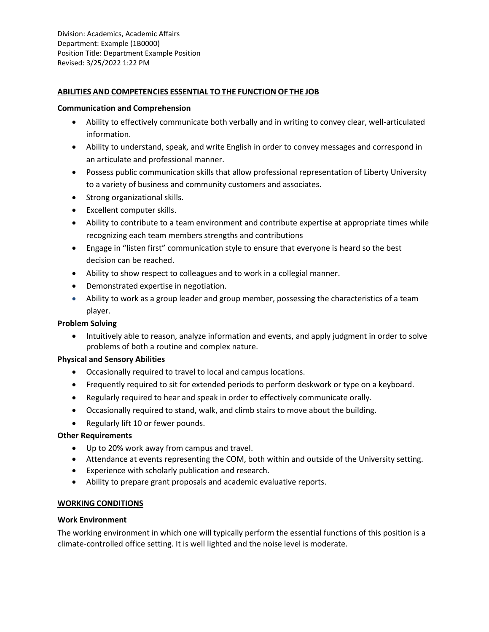#### **ABILITIES AND COMPETENCIES ESSENTIAL TO THE FUNCTION OF THE JOB**

#### **Communication and Comprehension**

- Ability to effectively communicate both verbally and in writing to convey clear, well-articulated information.
- Ability to understand, speak, and write English in order to convey messages and correspond in an articulate and professional manner.
- Possess public communication skills that allow professional representation of Liberty University to a variety of business and community customers and associates.
- Strong organizational skills.
- Excellent computer skills.
- Ability to contribute to a team environment and contribute expertise at appropriate times while recognizing each team members strengths and contributions
- Engage in "listen first" communication style to ensure that everyone is heard so the best decision can be reached.
- Ability to show respect to colleagues and to work in a collegial manner.
- Demonstrated expertise in negotiation.
- Ability to work as a group leader and group member, possessing the characteristics of a team player.

#### **Problem Solving**

• Intuitively able to reason, analyze information and events, and apply judgment in order to solve problems of both a routine and complex nature.

#### **Physical and Sensory Abilities**

- Occasionally required to travel to local and campus locations.
- Frequently required to sit for extended periods to perform deskwork or type on a keyboard.
- Regularly required to hear and speak in order to effectively communicate orally.
- Occasionally required to stand, walk, and climb stairs to move about the building.
- Regularly lift 10 or fewer pounds.

#### **Other Requirements**

- Up to 20% work away from campus and travel.
- Attendance at events representing the COM, both within and outside of the University setting.
- Experience with scholarly publication and research.
- Ability to prepare grant proposals and academic evaluative reports.

#### **WORKING CONDITIONS**

#### **Work Environment**

The working environment in which one will typically perform the essential functions of this position is a climate-controlled office setting. It is well lighted and the noise level is moderate.